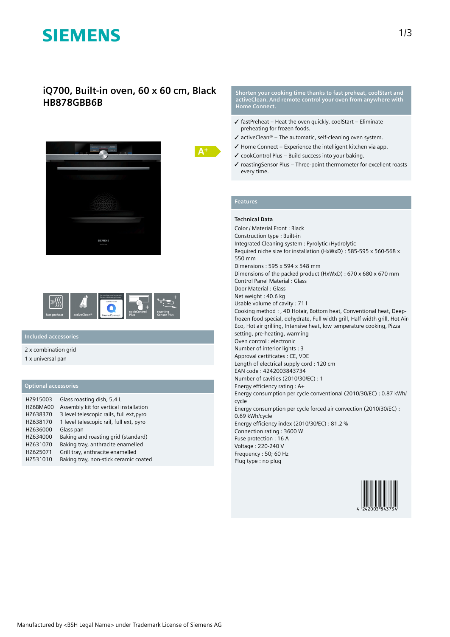# **SIEMENS**

## **iQ700, Built-in oven, 60 x 60 cm, Black HB878GBB6B**







## **Included accessories**

#### 2 x combination grid

1 x universal pan

### **Optional accessories**

| HZ915003 | Glass roasting dish, 5,4 L               |
|----------|------------------------------------------|
| HZ6BMA00 | Assembly kit for vertical installation   |
| HZ638370 | 3 level telescopic rails, full ext, pyro |
| HZ638170 | 1 level telescopic rail, full ext, pyro  |
| HZ636000 | Glass pan                                |
| HZ634000 | Baking and roasting grid (standard)      |
| HZ631070 | Baking tray, anthracite enamelled        |
| HZ625071 | Grill tray, anthracite enamelled         |
| HZ531010 | Baking tray, non-stick ceramic coated    |

**Shorten your cooking time thanks to fast preheat, coolStart and activeClean. And remote control your oven from anywhere with Home Connect.**

- $\checkmark$  fastPreheat Heat the oven quickly. coolStart Eliminate preheating for frozen foods.
- $\checkmark$  activeClean® The automatic, self-cleaning oven system.
- $\checkmark$  Home Connect Experience the intelligent kitchen via app.
- ✓ cookControl Plus Build success into your baking.
- ✓ roastingSensor Plus Three-point thermometer for excellent roasts every time.

#### **Features**

#### **Technical Data**

Color / Material Front : Black Construction type : Built-in Integrated Cleaning system : Pyrolytic+Hydrolytic Required niche size for installation (HxWxD) : 585-595 x 560-568 x 550 mm Dimensions : 595 x 594 x 548 mm Dimensions of the packed product (HxWxD) : 670 x 680 x 670 mm Control Panel Material : Glass Door Material : Glass Net weight : 40.6 kg Usable volume of cavity : 71 l Cooking method : , 4D Hotair, Bottom heat, Conventional heat, Deepfrozen food special, dehydrate, Full width grill, Half width grill, Hot Air-Eco, Hot air grilling, Intensive heat, low temperature cooking, Pizza setting, pre-heating, warming Oven control : electronic Number of interior lights : 3 Approval certificates : CE, VDE Length of electrical supply cord : 120 cm EAN code : 4242003843734 Number of cavities (2010/30/EC) : 1 Energy efficiency rating : A+ Energy consumption per cycle conventional (2010/30/EC) : 0.87 kWh/ cycle Energy consumption per cycle forced air convection (2010/30/EC) : 0.69 kWh/cycle Energy efficiency index (2010/30/EC) : 81.2 % Connection rating : 3600 W Fuse protection : 16 A Voltage : 220-240 V Frequency : 50; 60 Hz Plug type : no plug

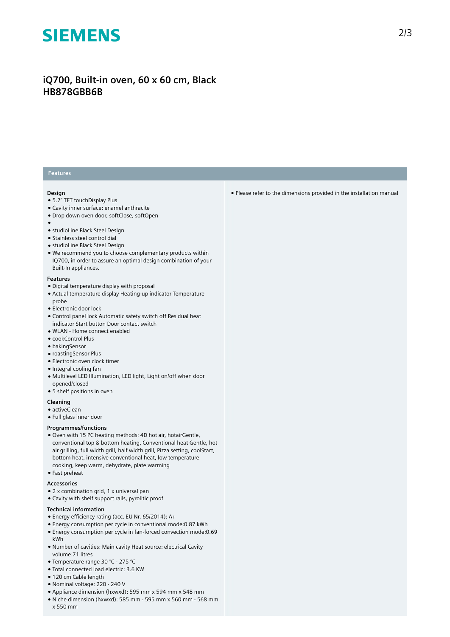# **SIEMENS**

# **iQ700, Built-in oven, 60 x 60 cm, Black HB878GBB6B**

### **Features**

#### **Design**

- 5.7" TFT touchDisplay Plus
- Cavity inner surface: enamel anthracite
- Drop down oven door, softClose, softOpen
- ●
- studioLine Black Steel Design
- Stainless steel control dial
- studioLine Black Steel Design
- We recommend you to choose complementary products within IQ700, in order to assure an optimal design combination of your Built-In appliances.

#### **Features**

- Digital temperature display with proposal
- Actual temperature display Heating-up indicator Temperature probe
- Electronic door lock
- Control panel lock Automatic safety switch off Residual heat indicator Start button Door contact switch
- WLAN Home connect enabled
- cookControl Plus
- bakingSensor
- roastingSensor Plus
- Electronic oven clock timer
- Integral cooling fan
- Multilevel LED Illumination, LED light, Light on/off when door opened/closed
- 5 shelf positions in oven

#### **Cleaning**

- activeClean
- Full glass inner door

#### **Programmes/functions**

- Oven with 15 PC heating methods: 4D hot air, hotairGentle, conventional top & bottom heating, Conventional heat Gentle, hot air grilling, full width grill, half width grill, Pizza setting, coolStart, bottom heat, intensive conventional heat, low temperature cooking, keep warm, dehydrate, plate warming
- Fast preheat

#### **Accessories**

- 2 x combination grid, 1 x universal pan
- Cavity with shelf support rails, pyrolitic proof

#### **Technical information**

- Energy efficiency rating (acc. EU Nr. 65/2014): A+
- Energy consumption per cycle in conventional mode:0.87 kWh
- Energy consumption per cycle in fan-forced convection mode:0.69 kWh
- Number of cavities: Main cavity Heat source: electrical Cavity volume:71 litres
- Temperature range 30 °C 275 °C
- Total connected load electric: 3.6 KW
- 120 cm Cable length
- Nominal voltage: 220 240 V
- Appliance dimension (hxwxd): 595 mm x 594 mm x 548 mm ● Niche dimension (hxwxd): 585 mm - 595 mm x 560 mm - 568 mm
- x 550 mm

● Please refer to the dimensions provided in the installation manual